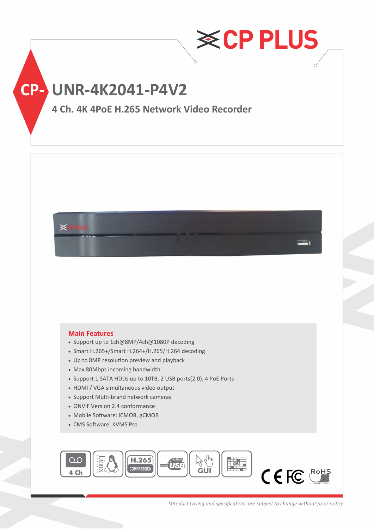

**CP- UNR-4K2041-P4V2**

## **4 Ch. 4K 4PoE H.265 Network Video Recorder**



### **Main Features**

- Support up to 1ch@8MP/4ch@1080P decoding
- Smart H.265+/Smart H.264+/H.265/H.264 decoding
- Up to 8MP resolution preview and playback
- Max 80Mbps incoming bandwidth
- Support 1 SATA HDDs up to 10TB, 2 USB ports(2.0), 4 PoE Ports
- HDMI / VGA simultaneous video output
- Support Multi-brand network cameras
- ONVIF Version 2.4 conformance
- Mobile Software: iCMOB, gCMOB
- CMS Software: KVMS Pro



*\*Product casing and specifications are subject to change without prior notice*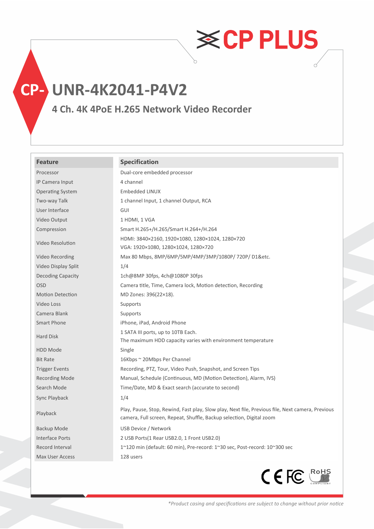**CP- UNR-4K2041-P4V2**

## **4 Ch. 4K 4PoE H.265 Network Video Recorder**

### **Feature Specification**

| Processor                | Dual-core embedded processor                                                                                                                                             |
|--------------------------|--------------------------------------------------------------------------------------------------------------------------------------------------------------------------|
| IP Camera Input          | 4 channel                                                                                                                                                                |
| <b>Operating System</b>  | Embedded LINUX                                                                                                                                                           |
| Two-way Talk             | 1 channel Input, 1 channel Output, RCA                                                                                                                                   |
| User Interface           | GUI                                                                                                                                                                      |
| Video Output             | 1 HDMI, 1 VGA                                                                                                                                                            |
| Compression              | Smart H.265+/H.265/Smart H.264+/H.264                                                                                                                                    |
| Video Resolution         | HDMI: 3840×2160, 1920×1080, 1280×1024, 1280×720<br>VGA: 1920×1080, 1280×1024, 1280×720                                                                                   |
| Video Recording          | Max 80 Mbps, 8MP/6MP/5MP/4MP/3MP/1080P/720P/D1&etc.                                                                                                                      |
| Video Display Split      | 1/4                                                                                                                                                                      |
| <b>Decoding Capacity</b> | 1ch@8MP 30fps, 4ch@1080P 30fps                                                                                                                                           |
| <b>OSD</b>               | Camera title, Time, Camera lock, Motion detection, Recording                                                                                                             |
| <b>Motion Detection</b>  | MD Zones: 396(22×18).                                                                                                                                                    |
| Video Loss               | Supports                                                                                                                                                                 |
| Camera Blank             | Supports                                                                                                                                                                 |
| Smart Phone              | iPhone, iPad, Android Phone                                                                                                                                              |
| <b>Hard Disk</b>         | 1 SATA III ports, up to 10TB Each.                                                                                                                                       |
|                          | The maximum HDD capacity varies with environment temperature                                                                                                             |
| <b>HDD Mode</b>          | Single                                                                                                                                                                   |
| <b>Bit Rate</b>          | 16Kbps ~ 20Mbps Per Channel                                                                                                                                              |
| <b>Trigger Events</b>    | Recording, PTZ, Tour, Video Push, Snapshot, and Screen Tips                                                                                                              |
| Recording Mode           | Manual, Schedule (Continuous, MD (Motion Detection), Alarm, IVS)                                                                                                         |
| Search Mode              | Time/Date, MD & Exact search (accurate to second)                                                                                                                        |
| Sync Playback            | 1/4                                                                                                                                                                      |
| Playback                 | Play, Pause, Stop, Rewind, Fast play, Slow play, Next file, Previous file, Next camera, Previous<br>camera, Full screen, Repeat, Shuffle, Backup selection, Digital zoom |
| Backup Mode              | USB Device / Network                                                                                                                                                     |
| <b>Interface Ports</b>   | 2 USB Ports(1 Rear USB2.0, 1 Front USB2.0)                                                                                                                               |
| Record Interval          | 1~120 min (default: 60 min), Pre-record: 1~30 sec, Post-record: 10~300 sec                                                                                               |
| Max User Access          | 128 users                                                                                                                                                                |
|                          |                                                                                                                                                                          |



**≋CPPLUS**